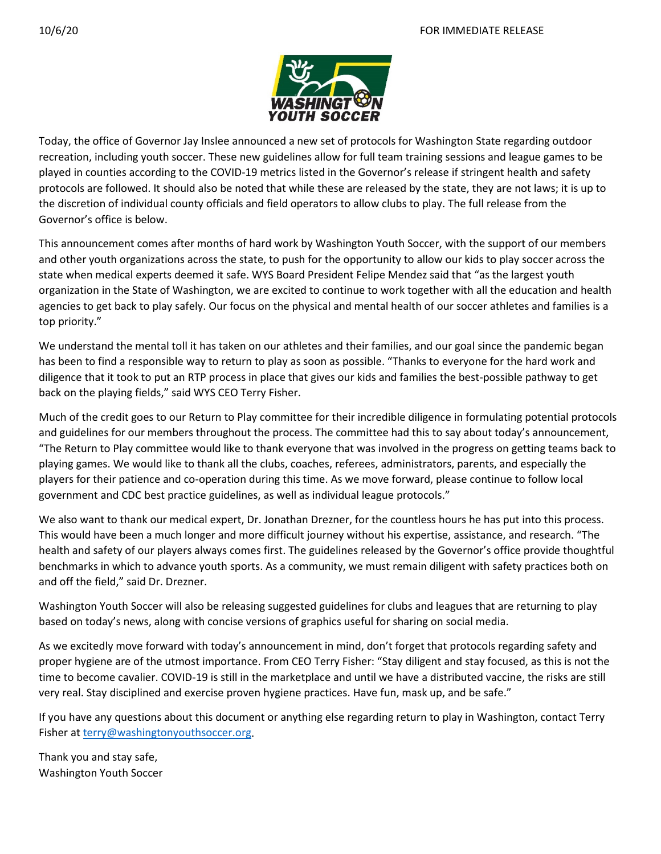

Today, the office of Governor Jay Inslee announced a new set of protocols for Washington State regarding outdoor recreation, including youth soccer. These new guidelines allow for full team training sessions and league games to be played in counties according to the COVID-19 metrics listed in the Governor's release if stringent health and safety protocols are followed. It should also be noted that while these are released by the state, they are not laws; it is up to the discretion of individual county officials and field operators to allow clubs to play. The full release from the Governor's office is below.

This announcement comes after months of hard work by Washington Youth Soccer, with the support of our members and other youth organizations across the state, to push for the opportunity to allow our kids to play soccer across the state when medical experts deemed it safe. WYS Board President Felipe Mendez said that "as the largest youth organization in the State of Washington, we are excited to continue to work together with all the education and health agencies to get back to play safely. Our focus on the physical and mental health of our soccer athletes and families is a top priority."

We understand the mental toll it has taken on our athletes and their families, and our goal since the pandemic began has been to find a responsible way to return to play as soon as possible. "Thanks to everyone for the hard work and diligence that it took to put an RTP process in place that gives our kids and families the best-possible pathway to get back on the playing fields," said WYS CEO Terry Fisher.

Much of the credit goes to our Return to Play committee for their incredible diligence in formulating potential protocols and guidelines for our members throughout the process. The committee had this to say about today's announcement, "The Return to Play committee would like to thank everyone that was involved in the progress on getting teams back to playing games. We would like to thank all the clubs, coaches, referees, administrators, parents, and especially the players for their patience and co-operation during this time. As we move forward, please continue to follow local government and CDC best practice guidelines, as well as individual league protocols."

We also want to thank our medical expert, Dr. Jonathan Drezner, for the countless hours he has put into this process. This would have been a much longer and more difficult journey without his expertise, assistance, and research. "The health and safety of our players always comes first. The guidelines released by the Governor's office provide thoughtful benchmarks in which to advance youth sports. As a community, we must remain diligent with safety practices both on and off the field," said Dr. Drezner.

Washington Youth Soccer will also be releasing suggested guidelines for clubs and leagues that are returning to play based on today's news, along with concise versions of graphics useful for sharing on social media.

As we excitedly move forward with today's announcement in mind, don't forget that protocols regarding safety and proper hygiene are of the utmost importance. From CEO Terry Fisher: "Stay diligent and stay focused, as this is not the time to become cavalier. COVID-19 is still in the marketplace and until we have a distributed vaccine, the risks are still very real. Stay disciplined and exercise proven hygiene practices. Have fun, mask up, and be safe."

If you have any questions about this document or anything else regarding return to play in Washington, contact Terry Fisher at terry@washingtonyouthsoccer.org.

Thank you and stay safe, Washington Youth Soccer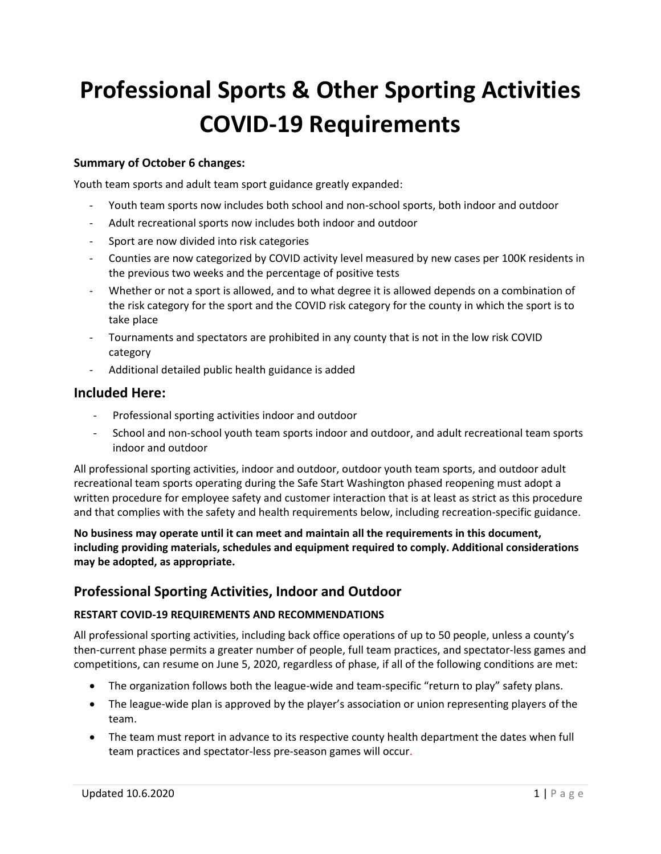# **Professional Sports & Other Sporting Activities COVID-19 Requirements**

# **Summary of October 6 changes:**

Youth team sports and adult team sport guidance greatly expanded:

- Youth team sports now includes both school and non-school sports, both indoor and outdoor
- Adult recreational sports now includes both indoor and outdoor
- Sport are now divided into risk categories
- Counties are now categorized by COVID activity level measured by new cases per 100K residents in the previous two weeks and the percentage of positive tests
- Whether or not a sport is allowed, and to what degree it is allowed depends on a combination of the risk category for the sport and the COVID risk category for the county in which the sport is to take place
- Tournaments and spectators are prohibited in any county that is not in the low risk COVID category
- Additional detailed public health guidance is added

# **Included Here:**

- Professional sporting activities indoor and outdoor
- School and non-school youth team sports indoor and outdoor, and adult recreational team sports indoor and outdoor

All professional sporting activities, indoor and outdoor, outdoor youth team sports, and outdoor adult recreational team sports operating during the Safe Start Washington phased reopening must adopt a written procedure for employee safety and customer interaction that is at least as strict as this procedure and that complies with the safety and health requirements below, including recreation-specific guidance.

**No business may operate until it can meet and maintain all the requirements in this document, including providing materials, schedules and equipment required to comply. Additional considerations may be adopted, as appropriate.** 

# **Professional Sporting Activities, Indoor and Outdoor**

# **RESTART COVID-19 REQUIREMENTS AND RECOMMENDATIONS**

All professional sporting activities, including back office operations of up to 50 people, unless a county's then-current phase permits a greater number of people, full team practices, and spectator-less games and competitions, can resume on June 5, 2020, regardless of phase, if all of the following conditions are met:

- The organization follows both the league-wide and team-specific "return to play" safety plans.
- The league-wide plan is approved by the player's association or union representing players of the team.
- The team must report in advance to its respective county health department the dates when full team practices and spectator-less pre-season games will occur.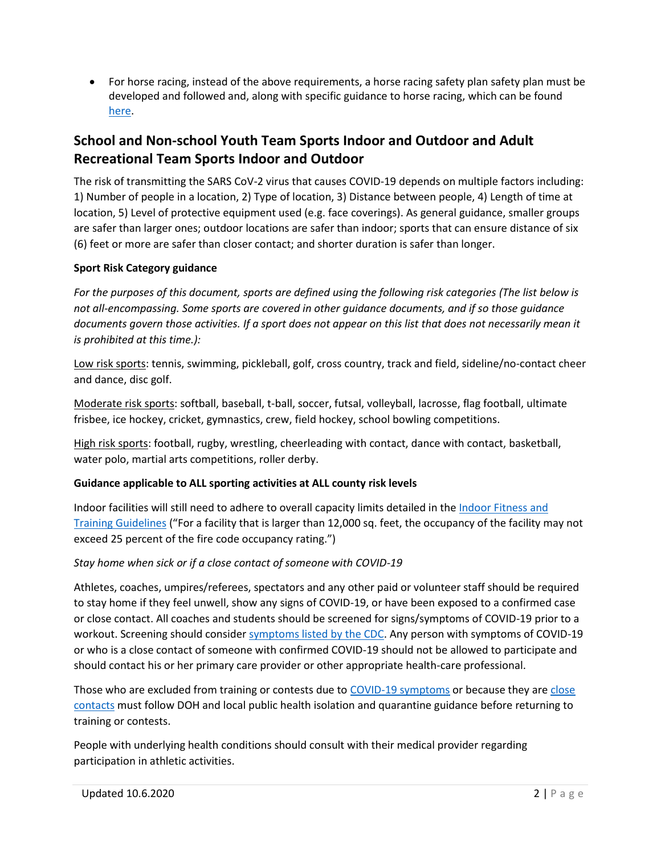• For horse racing, instead of the above requirements, a horse racing safety plan safety plan must be developed and followed and, along with specific guidance to horse racing, which can be found here.

# **School and Non-school Youth Team Sports Indoor and Outdoor and Adult Recreational Team Sports Indoor and Outdoor**

The risk of transmitting the SARS CoV-2 virus that causes COVID-19 depends on multiple factors including: 1) Number of people in a location, 2) Type of location, 3) Distance between people, 4) Length of time at location, 5) Level of protective equipment used (e.g. face coverings). As general guidance, smaller groups are safer than larger ones; outdoor locations are safer than indoor; sports that can ensure distance of six (6) feet or more are safer than closer contact; and shorter duration is safer than longer.

# **Sport Risk Category guidance**

*For the purposes of this document, sports are defined using the following risk categories (The list below is not all-encompassing. Some sports are covered in other guidance documents, and if so those guidance documents govern those activities. If a sport does not appear on this list that does not necessarily mean it is prohibited at this time.):*

Low risk sports: tennis, swimming, pickleball, golf, cross country, track and field, sideline/no-contact cheer and dance, disc golf.

Moderate risk sports: softball, baseball, t-ball, soccer, futsal, volleyball, lacrosse, flag football, ultimate frisbee, ice hockey, cricket, gymnastics, crew, field hockey, school bowling competitions.

High risk sports: football, rugby, wrestling, cheerleading with contact, dance with contact, basketball, water polo, martial arts competitions, roller derby.

# **Guidance applicable to ALL sporting activities at ALL county risk levels**

Indoor facilities will still need to adhere to overall capacity limits detailed in the Indoor Fitness and Training Guidelines ("For a facility that is larger than 12,000 sq. feet, the occupancy of the facility may not exceed 25 percent of the fire code occupancy rating.<sup>"</sup>)

# *Stay home when sick or if a close contact of someone with COVID-19*

Athletes, coaches, umpires/referees, spectators and any other paid or volunteer staff should be required to stay home if they feel unwell, show any signs of COVID-19, or have been exposed to a confirmed case or close contact. All coaches and students should be screened for signs/symptoms of COVID-19 prior to a workout. Screening should consider symptoms listed by the CDC. Any person with symptoms of COVID-19 or who is a close contact of someone with confirmed COVID-19 should not be allowed to participate and should contact his or her primary care provider or other appropriate health-care professional.

Those who are excluded from training or contests due to COVID-19 symptoms or because they are close contacts must follow DOH and local public health isolation and quarantine guidance before returning to training or contests.

People with underlying health conditions should consult with their medical provider regarding participation in athletic activities.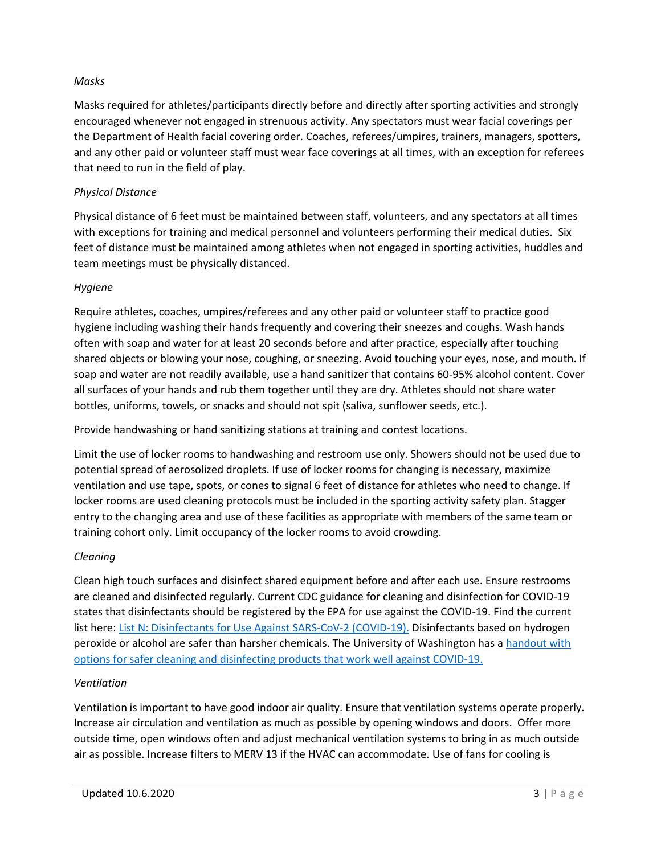#### *Masks*

Masks required for athletes/participants directly before and directly after sporting activities and strongly encouraged whenever not engaged in strenuous activity. Any spectators must wear facial coverings per the Department of Health facial covering order. Coaches, referees/umpires, trainers, managers, spotters, and any other paid or volunteer staff must wear face coverings at all times, with an exception for referees that need to run in the field of play.

#### *Physical Distance*

Physical distance of 6 feet must be maintained between staff, volunteers, and any spectators at all times with exceptions for training and medical personnel and volunteers performing their medical duties. Six feet of distance must be maintained among athletes when not engaged in sporting activities, huddles and team meetings must be physically distanced.

#### *Hygiene*

Require athletes, coaches, umpires/referees and any other paid or volunteer staff to practice good hygiene including washing their hands frequently and covering their sneezes and coughs. Wash hands often with soap and water for at least 20 seconds before and after practice, especially after touching shared objects or blowing your nose, coughing, or sneezing. Avoid touching your eyes, nose, and mouth. If soap and water are not readily available, use a hand sanitizer that contains 60-95% alcohol content. Cover all surfaces of your hands and rub them together until they are dry. Athletes should not share water bottles, uniforms, towels, or snacks and should not spit (saliva, sunflower seeds, etc.).

Provide handwashing or hand sanitizing stations at training and contest locations.

Limit the use of locker rooms to handwashing and restroom use only. Showers should not be used due to potential spread of aerosolized droplets. If use of locker rooms for changing is necessary, maximize ventilation and use tape, spots, or cones to signal 6 feet of distance for athletes who need to change. If locker rooms are used cleaning protocols must be included in the sporting activity safety plan. Stagger entry to the changing area and use of these facilities as appropriate with members of the same team or training cohort only. Limit occupancy of the locker rooms to avoid crowding.

#### *Cleaning*

Clean high touch surfaces and disinfect shared equipment before and after each use. Ensure restrooms are cleaned and disinfected regularly. Current CDC guidance for cleaning and disinfection for COVID-19 states that disinfectants should be registered by the EPA for use against the COVID-19. Find the current list here: List N: Disinfectants for Use Against SARS-CoV-2 (COVID-19). Disinfectants based on hydrogen peroxide or alcohol are safer than harsher chemicals. The University of Washington has a handout with options for safer cleaning and disinfecting products that work well against COVID-19.

#### *Ventilation*

Ventilation is important to have good indoor air quality. Ensure that ventilation systems operate properly. Increase air circulation and ventilation as much as possible by opening windows and doors. Offer more outside time, open windows often and adjust mechanical ventilation systems to bring in as much outside air as possible. Increase filters to MERV 13 if the HVAC can accommodate. Use of fans for cooling is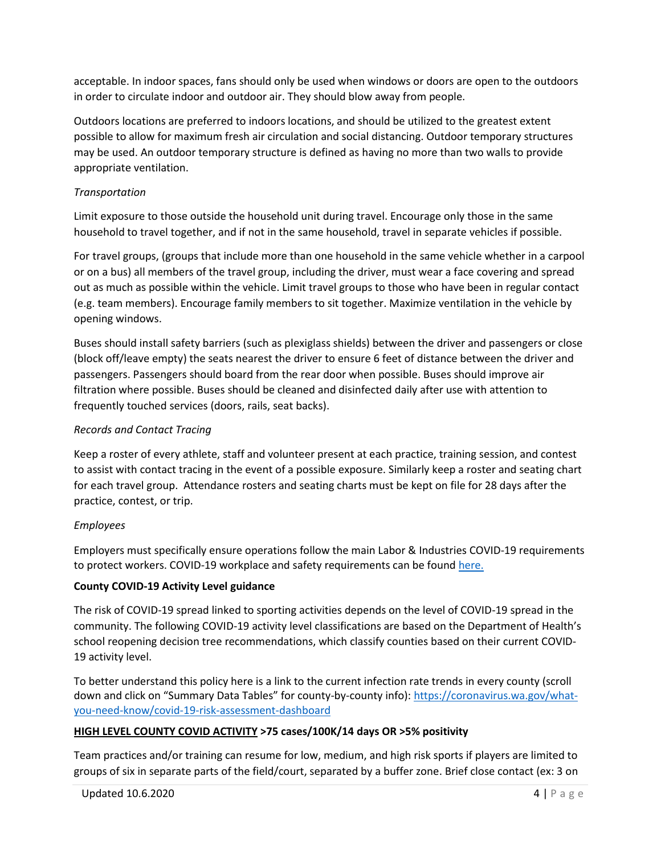acceptable. In indoor spaces, fans should only be used when windows or doors are open to the outdoors in order to circulate indoor and outdoor air. They should blow away from people.

Outdoors locations are preferred to indoors locations, and should be utilized to the greatest extent possible to allow for maximum fresh air circulation and social distancing. Outdoor temporary structures may be used. An outdoor temporary structure is defined as having no more than two walls to provide appropriate ventilation.

#### *Transportation*

Limit exposure to those outside the household unit during travel. Encourage only those in the same household to travel together, and if not in the same household, travel in separate vehicles if possible.

For travel groups, (groups that include more than one household in the same vehicle whether in a carpool or on a bus) all members of the travel group, including the driver, must wear a face covering and spread out as much as possible within the vehicle. Limit travel groups to those who have been in regular contact (e.g. team members). Encourage family members to sit together. Maximize ventilation in the vehicle by opening windows.

Buses should install safety barriers (such as plexiglass shields) between the driver and passengers or close (block off/leave empty) the seats nearest the driver to ensure 6 feet of distance between the driver and passengers. Passengers should board from the rear door when possible. Buses should improve air filtration where possible. Buses should be cleaned and disinfected daily after use with attention to frequently touched services (doors, rails, seat backs).

#### *Records and Contact Tracing*

Keep a roster of every athlete, staff and volunteer present at each practice, training session, and contest to assist with contact tracing in the event of a possible exposure. Similarly keep a roster and seating chart for each travel group. Attendance rosters and seating charts must be kept on file for 28 days after the practice, contest, or trip.

# *Employees*

Employers must specifically ensure operations follow the main Labor & Industries COVID-19 requirements to protect workers. COVID-19 workplace and safety requirements can be found here.

# **County COVID-19 Activity Level guidance**

The risk of COVID-19 spread linked to sporting activities depends on the level of COVID-19 spread in the community. The following COVID-19 activity level classifications are based on the Department of Health's school reopening decision tree recommendations, which classify counties based on their current COVID-19 activity level.

To better understand this policy here is a link to the current infection rate trends in every county (scroll down and click on "Summary Data Tables" for county-by-county info): https://coronavirus.wa.gov/whatyou-need-know/covid-19-risk-assessment-dashboard

# **HIGH LEVEL COUNTY COVID ACTIVITY >75 cases/100K/14 days OR >5% positivity**

Team practices and/or training can resume for low, medium, and high risk sports if players are limited to groups of six in separate parts of the field/court, separated by a buffer zone. Brief close contact (ex: 3 on